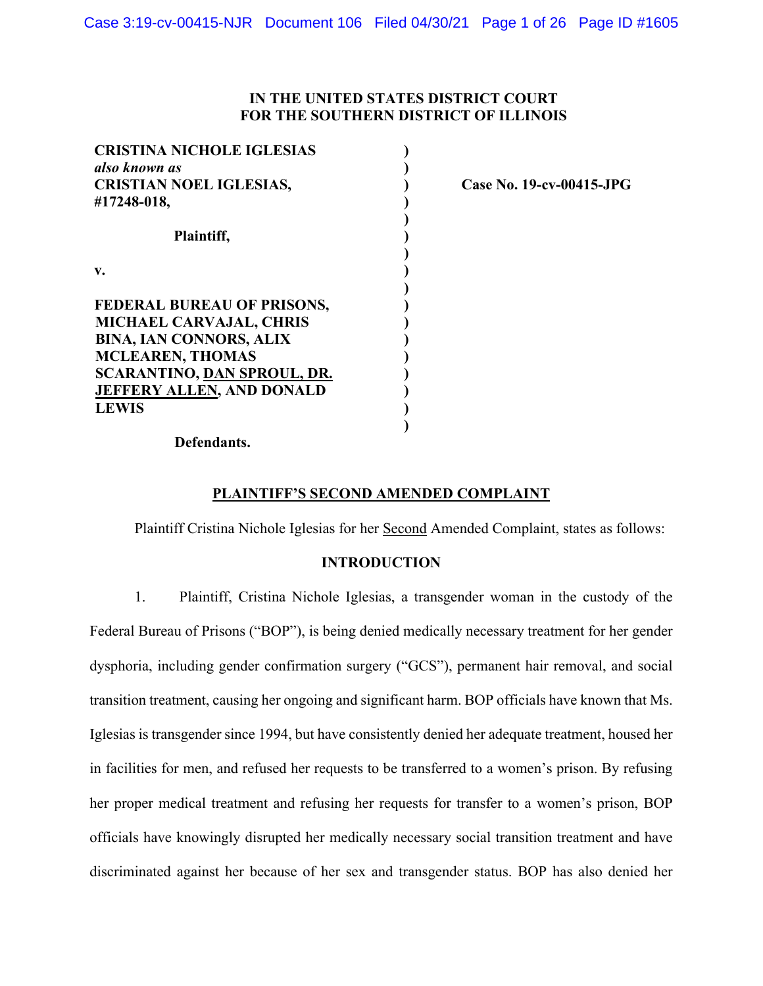# **IN THE UNITED STATES DISTRICT COURT FOR THE SOUTHERN DISTRICT OF ILLINOIS**

| <b>CRISTINA NICHOLE IGLESIAS</b>   |  |
|------------------------------------|--|
| also known as                      |  |
| <b>CRISTIAN NOEL IGLESIAS,</b>     |  |
| #17248-018,                        |  |
| Plaintiff,                         |  |
| v.                                 |  |
| <b>FEDERAL BUREAU OF PRISONS,</b>  |  |
| <b>MICHAEL CARVAJAL, CHRIS</b>     |  |
| <b>BINA, IAN CONNORS, ALIX</b>     |  |
| <b>MCLEAREN, THOMAS</b>            |  |
| <b>SCARANTINO, DAN SPROUL, DR.</b> |  |
| <b>JEFFERY ALLEN, AND DONALD</b>   |  |
| <b>LEWIS</b>                       |  |
|                                    |  |

**Case No. 19-cv-00415-JPG**

## **Defendants.**

# **PLAINTIFF'S SECOND AMENDED COMPLAINT**

Plaintiff Cristina Nichole Iglesias for her Second Amended Complaint, states as follows:

# **INTRODUCTION**

1. Plaintiff, Cristina Nichole Iglesias, a transgender woman in the custody of the Federal Bureau of Prisons ("BOP"), is being denied medically necessary treatment for her gender dysphoria, including gender confirmation surgery ("GCS"), permanent hair removal, and social transition treatment, causing her ongoing and significant harm. BOP officials have known that Ms. Iglesias is transgender since 1994, but have consistently denied her adequate treatment, housed her in facilities for men, and refused her requests to be transferred to a women's prison. By refusing her proper medical treatment and refusing her requests for transfer to a women's prison, BOP officials have knowingly disrupted her medically necessary social transition treatment and have discriminated against her because of her sex and transgender status. BOP has also denied her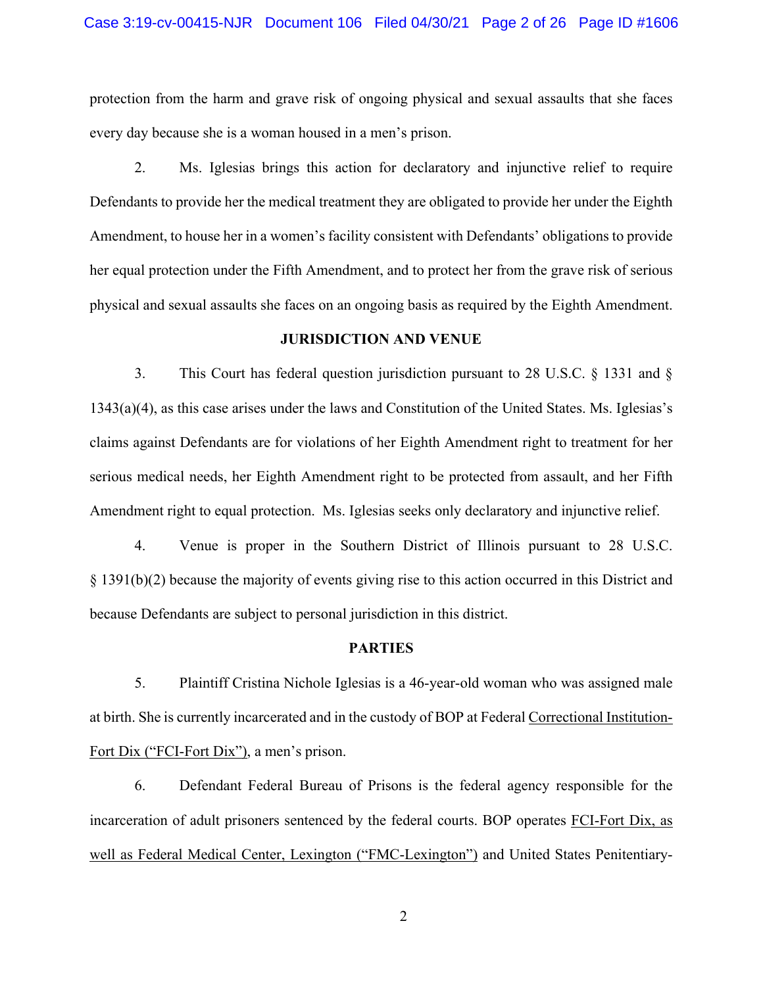#### Case 3:19-cv-00415-NJR Document 106 Filed 04/30/21 Page 2 of 26 Page ID #1606

protection from the harm and grave risk of ongoing physical and sexual assaults that she faces every day because she is a woman housed in a men's prison.

2. Ms. Iglesias brings this action for declaratory and injunctive relief to require Defendants to provide her the medical treatment they are obligated to provide her under the Eighth Amendment, to house her in a women's facility consistent with Defendants' obligations to provide her equal protection under the Fifth Amendment, and to protect her from the grave risk of serious physical and sexual assaults she faces on an ongoing basis as required by the Eighth Amendment.

#### **JURISDICTION AND VENUE**

3. This Court has federal question jurisdiction pursuant to 28 U.S.C. § 1331 and § 1343(a)(4), as this case arises under the laws and Constitution of the United States. Ms. Iglesias's claims against Defendants are for violations of her Eighth Amendment right to treatment for her serious medical needs, her Eighth Amendment right to be protected from assault, and her Fifth Amendment right to equal protection. Ms. Iglesias seeks only declaratory and injunctive relief.

4. Venue is proper in the Southern District of Illinois pursuant to 28 U.S.C. § 1391(b)(2) because the majority of events giving rise to this action occurred in this District and because Defendants are subject to personal jurisdiction in this district.

#### **PARTIES**

5. Plaintiff Cristina Nichole Iglesias is a 46-year-old woman who was assigned male at birth. She is currently incarcerated and in the custody of BOP at Federal Correctional Institution-Fort Dix ("FCI-Fort Dix"), a men's prison.

6. Defendant Federal Bureau of Prisons is the federal agency responsible for the incarceration of adult prisoners sentenced by the federal courts. BOP operates FCI-Fort Dix, as well as Federal Medical Center, Lexington ("FMC-Lexington") and United States Penitentiary-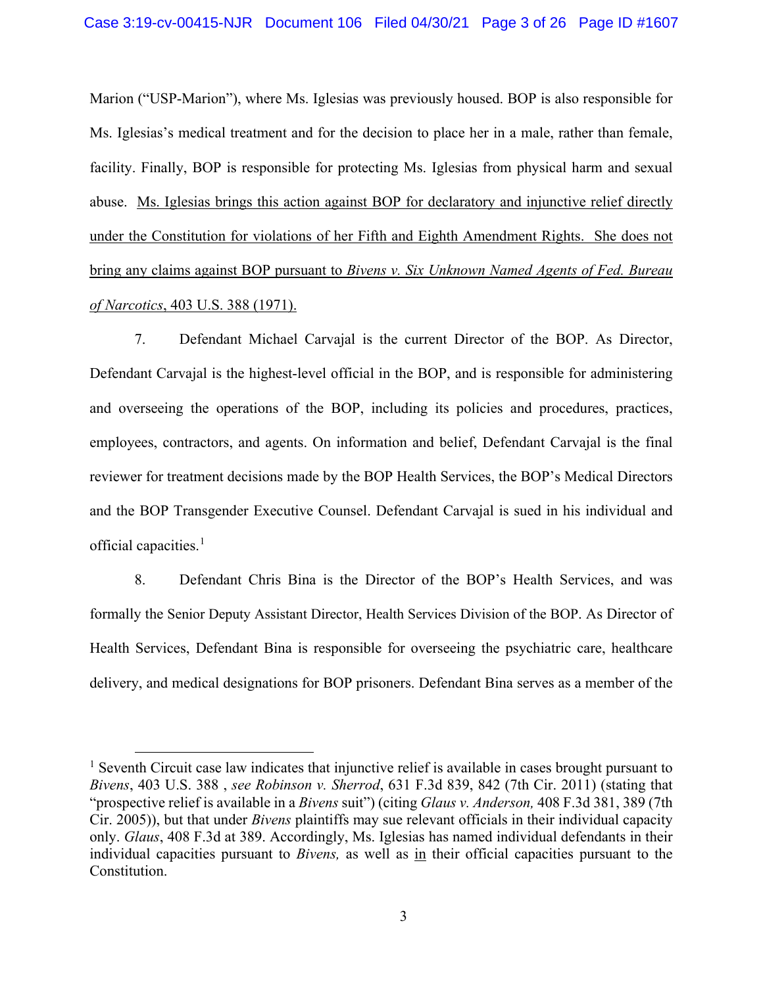Marion ("USP-Marion"), where Ms. Iglesias was previously housed. BOP is also responsible for Ms. Iglesias's medical treatment and for the decision to place her in a male, rather than female, facility. Finally, BOP is responsible for protecting Ms. Iglesias from physical harm and sexual abuse. Ms. Iglesias brings this action against BOP for declaratory and injunctive relief directly under the Constitution for violations of her Fifth and Eighth Amendment Rights. She does not bring any claims against BOP pursuant to *Bivens v. Six Unknown Named Agents of Fed. Bureau of Narcotics*, 403 U.S. 388 (1971).

7. Defendant Michael Carvajal is the current Director of the BOP. As Director, Defendant Carvajal is the highest-level official in the BOP, and is responsible for administering and overseeing the operations of the BOP, including its policies and procedures, practices, employees, contractors, and agents. On information and belief, Defendant Carvajal is the final reviewer for treatment decisions made by the BOP Health Services, the BOP's Medical Directors and the BOP Transgender Executive Counsel. Defendant Carvajal is sued in his individual and official capacities. 1

8. Defendant Chris Bina is the Director of the BOP's Health Services, and was formally the Senior Deputy Assistant Director, Health Services Division of the BOP. As Director of Health Services, Defendant Bina is responsible for overseeing the psychiatric care, healthcare delivery, and medical designations for BOP prisoners. Defendant Bina serves as a member of the

<sup>&</sup>lt;sup>1</sup> Seventh Circuit case law indicates that injunctive relief is available in cases brought pursuant to *Bivens*, 403 U.S. 388 , *see Robinson v. Sherrod*, 631 F.3d 839, 842 (7th Cir. 2011) (stating that "prospective relief is available in a *Bivens* suit") (citing *Glaus v. Anderson,* 408 F.3d 381, 389 (7th Cir. 2005)), but that under *Bivens* plaintiffs may sue relevant officials in their individual capacity only. *Glaus*, 408 F.3d at 389. Accordingly, Ms. Iglesias has named individual defendants in their individual capacities pursuant to *Bivens,* as well as in their official capacities pursuant to the Constitution.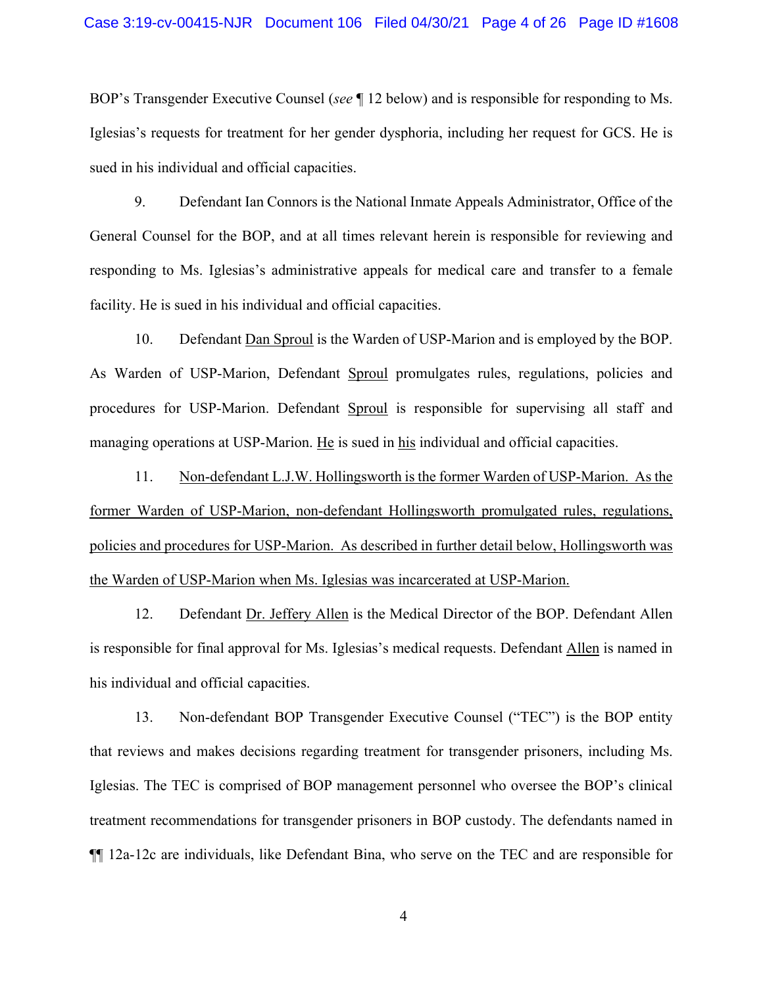BOP's Transgender Executive Counsel (*see* ¶ 12 below) and is responsible for responding to Ms. Iglesias's requests for treatment for her gender dysphoria, including her request for GCS. He is sued in his individual and official capacities.

9. Defendant Ian Connors is the National Inmate Appeals Administrator, Office of the General Counsel for the BOP, and at all times relevant herein is responsible for reviewing and responding to Ms. Iglesias's administrative appeals for medical care and transfer to a female facility. He is sued in his individual and official capacities.

10. Defendant Dan Sproul is the Warden of USP-Marion and is employed by the BOP. As Warden of USP-Marion, Defendant Sproul promulgates rules, regulations, policies and procedures for USP-Marion. Defendant Sproul is responsible for supervising all staff and managing operations at USP-Marion. He is sued in his individual and official capacities.

11. Non-defendant L.J.W. Hollingsworth is the former Warden of USP-Marion. As the former Warden of USP-Marion, non-defendant Hollingsworth promulgated rules, regulations, policies and procedures for USP-Marion. As described in further detail below, Hollingsworth was the Warden of USP-Marion when Ms. Iglesias was incarcerated at USP-Marion.

12. Defendant Dr. Jeffery Allen is the Medical Director of the BOP. Defendant Allen is responsible for final approval for Ms. Iglesias's medical requests. Defendant Allen is named in his individual and official capacities.

13. Non-defendant BOP Transgender Executive Counsel ("TEC") is the BOP entity that reviews and makes decisions regarding treatment for transgender prisoners, including Ms. Iglesias. The TEC is comprised of BOP management personnel who oversee the BOP's clinical treatment recommendations for transgender prisoners in BOP custody. The defendants named in ¶¶ 12a-12c are individuals, like Defendant Bina, who serve on the TEC and are responsible for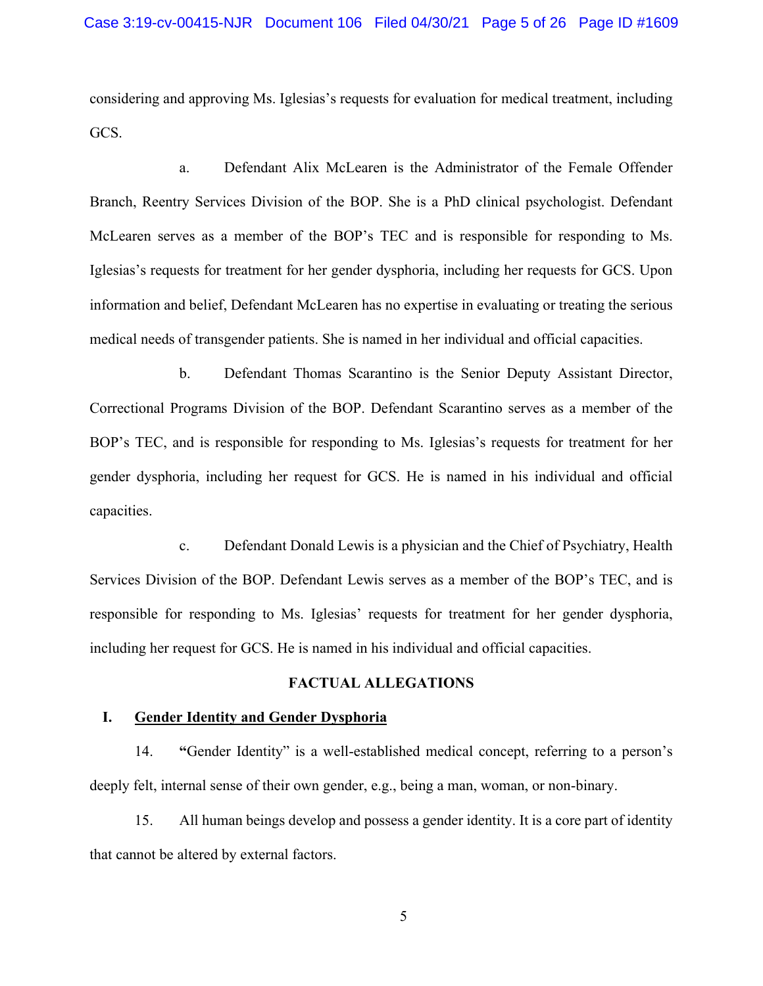considering and approving Ms. Iglesias's requests for evaluation for medical treatment, including GCS.

a. Defendant Alix McLearen is the Administrator of the Female Offender Branch, Reentry Services Division of the BOP. She is a PhD clinical psychologist. Defendant McLearen serves as a member of the BOP's TEC and is responsible for responding to Ms. Iglesias's requests for treatment for her gender dysphoria, including her requests for GCS. Upon information and belief, Defendant McLearen has no expertise in evaluating or treating the serious medical needs of transgender patients. She is named in her individual and official capacities.

b. Defendant Thomas Scarantino is the Senior Deputy Assistant Director, Correctional Programs Division of the BOP. Defendant Scarantino serves as a member of the BOP's TEC, and is responsible for responding to Ms. Iglesias's requests for treatment for her gender dysphoria, including her request for GCS. He is named in his individual and official capacities.

c. Defendant Donald Lewis is a physician and the Chief of Psychiatry, Health Services Division of the BOP. Defendant Lewis serves as a member of the BOP's TEC, and is responsible for responding to Ms. Iglesias' requests for treatment for her gender dysphoria, including her request for GCS. He is named in his individual and official capacities.

# **FACTUAL ALLEGATIONS**

## **I. Gender Identity and Gender Dysphoria**

14. **"**Gender Identity" is a well-established medical concept, referring to a person's deeply felt, internal sense of their own gender, e.g., being a man, woman, or non-binary.

15. All human beings develop and possess a gender identity. It is a core part of identity that cannot be altered by external factors.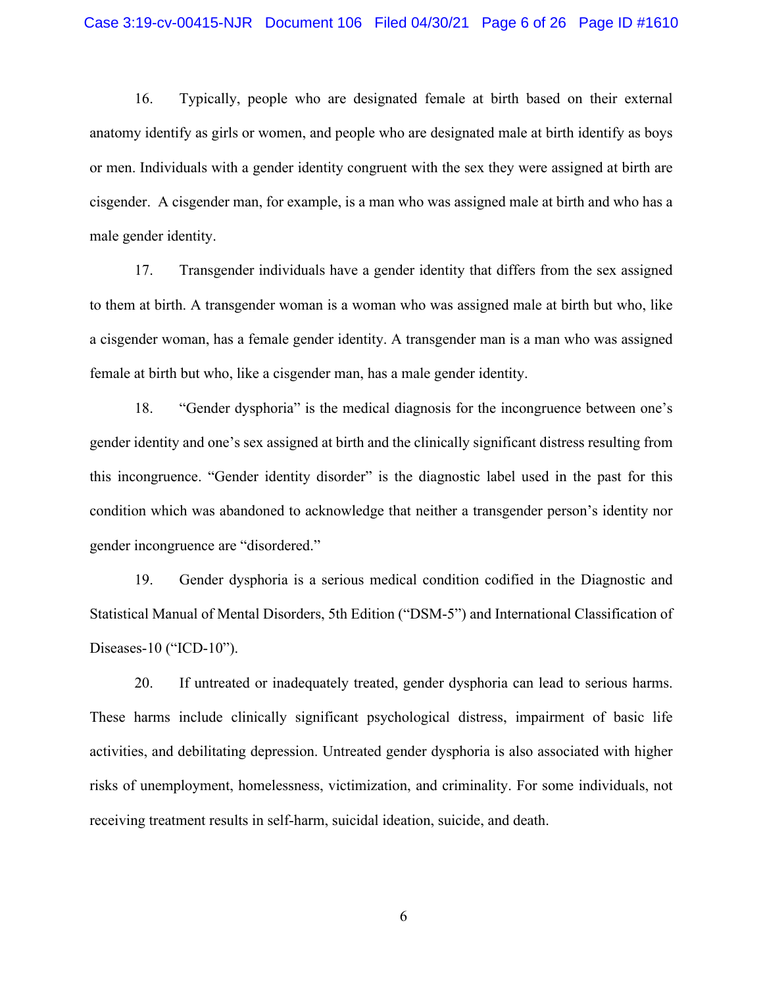16. Typically, people who are designated female at birth based on their external anatomy identify as girls or women, and people who are designated male at birth identify as boys or men. Individuals with a gender identity congruent with the sex they were assigned at birth are cisgender. A cisgender man, for example, is a man who was assigned male at birth and who has a male gender identity.

17. Transgender individuals have a gender identity that differs from the sex assigned to them at birth. A transgender woman is a woman who was assigned male at birth but who, like a cisgender woman, has a female gender identity. A transgender man is a man who was assigned female at birth but who, like a cisgender man, has a male gender identity.

18. "Gender dysphoria" is the medical diagnosis for the incongruence between one's gender identity and one's sex assigned at birth and the clinically significant distress resulting from this incongruence. "Gender identity disorder" is the diagnostic label used in the past for this condition which was abandoned to acknowledge that neither a transgender person's identity nor gender incongruence are "disordered."

19. Gender dysphoria is a serious medical condition codified in the Diagnostic and Statistical Manual of Mental Disorders, 5th Edition ("DSM-5") and International Classification of Diseases-10 ("ICD-10").

20. If untreated or inadequately treated, gender dysphoria can lead to serious harms. These harms include clinically significant psychological distress, impairment of basic life activities, and debilitating depression. Untreated gender dysphoria is also associated with higher risks of unemployment, homelessness, victimization, and criminality. For some individuals, not receiving treatment results in self-harm, suicidal ideation, suicide, and death.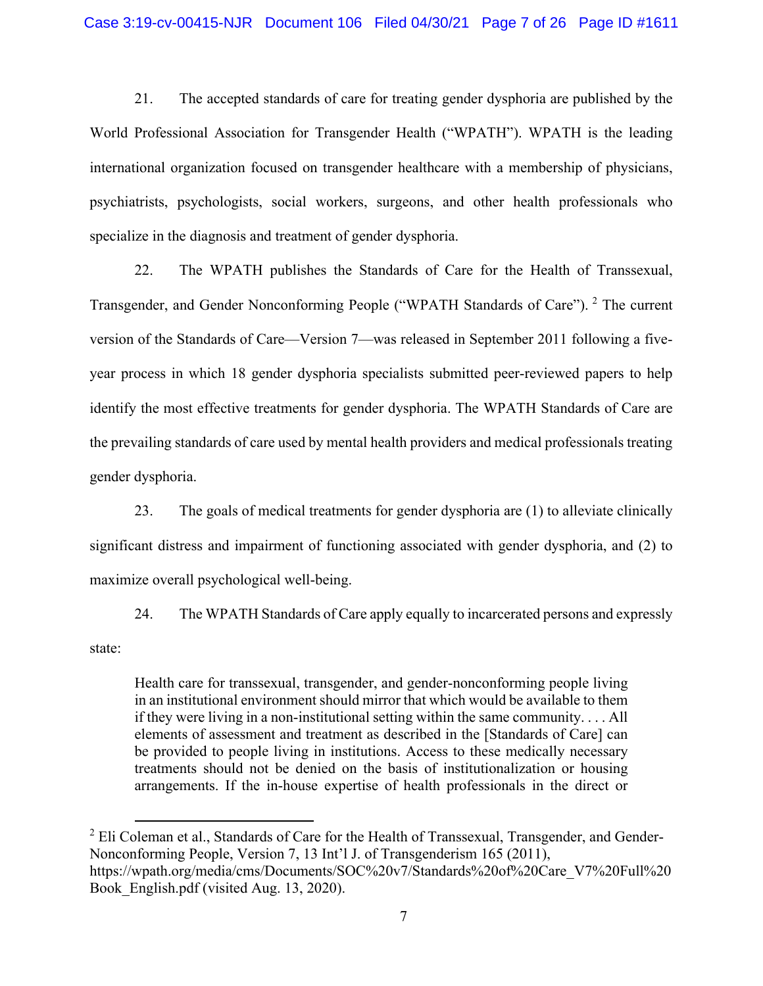21. The accepted standards of care for treating gender dysphoria are published by the World Professional Association for Transgender Health ("WPATH"). WPATH is the leading international organization focused on transgender healthcare with a membership of physicians, psychiatrists, psychologists, social workers, surgeons, and other health professionals who specialize in the diagnosis and treatment of gender dysphoria.

22. The WPATH publishes the Standards of Care for the Health of Transsexual, Transgender, and Gender Nonconforming People ("WPATH Standards of Care"). <sup>2</sup> The current version of the Standards of Care—Version 7—was released in September 2011 following a fiveyear process in which 18 gender dysphoria specialists submitted peer-reviewed papers to help identify the most effective treatments for gender dysphoria. The WPATH Standards of Care are the prevailing standards of care used by mental health providers and medical professionals treating gender dysphoria.

23. The goals of medical treatments for gender dysphoria are (1) to alleviate clinically significant distress and impairment of functioning associated with gender dysphoria, and (2) to maximize overall psychological well-being.

24. The WPATH Standards of Care apply equally to incarcerated persons and expressly state:

Health care for transsexual, transgender, and gender-nonconforming people living in an institutional environment should mirror that which would be available to them if they were living in a non-institutional setting within the same community. . . . All elements of assessment and treatment as described in the [Standards of Care] can be provided to people living in institutions. Access to these medically necessary treatments should not be denied on the basis of institutionalization or housing arrangements. If the in-house expertise of health professionals in the direct or

 $2$  Eli Coleman et al., Standards of Care for the Health of Transsexual, Transgender, and Gender-Nonconforming People, Version 7, 13 Int'l J. of Transgenderism 165 (2011), https://wpath.org/media/cms/Documents/SOC%20v7/Standards%20of%20Care\_V7%20Full%20 Book English.pdf (visited Aug. 13, 2020).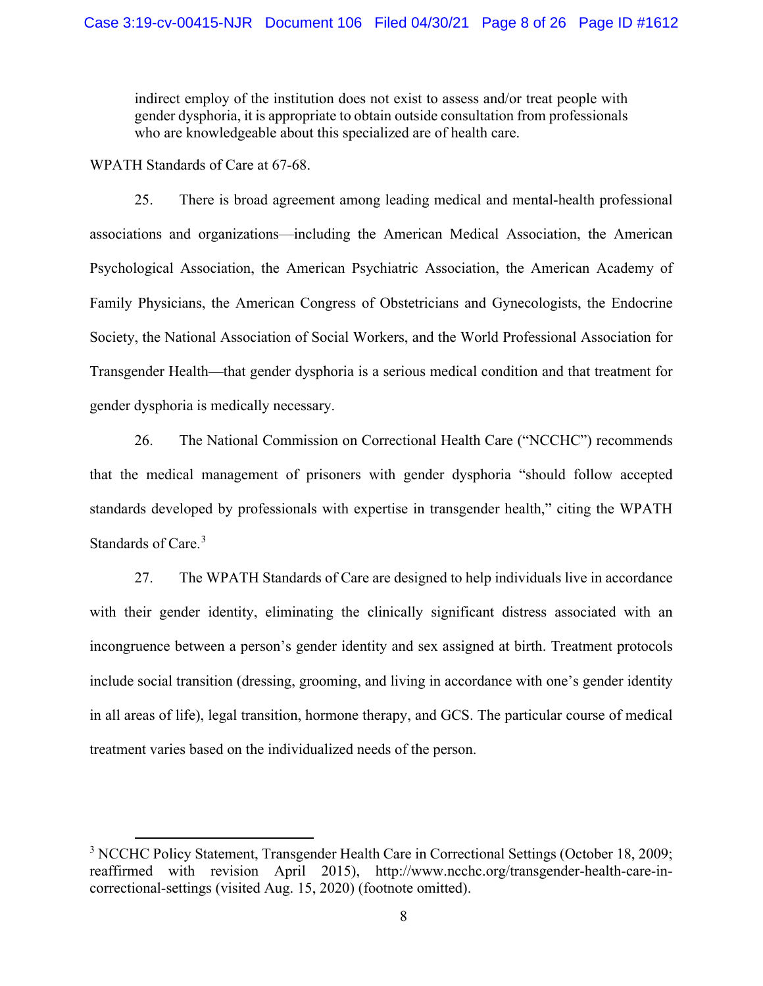indirect employ of the institution does not exist to assess and/or treat people with gender dysphoria, it is appropriate to obtain outside consultation from professionals who are knowledgeable about this specialized are of health care.

WPATH Standards of Care at 67-68.

25. There is broad agreement among leading medical and mental-health professional associations and organizations—including the American Medical Association, the American Psychological Association, the American Psychiatric Association, the American Academy of Family Physicians, the American Congress of Obstetricians and Gynecologists, the Endocrine Society, the National Association of Social Workers, and the World Professional Association for Transgender Health—that gender dysphoria is a serious medical condition and that treatment for gender dysphoria is medically necessary.

26. The National Commission on Correctional Health Care ("NCCHC") recommends that the medical management of prisoners with gender dysphoria "should follow accepted standards developed by professionals with expertise in transgender health," citing the WPATH Standards of Care.<sup>3</sup>

27. The WPATH Standards of Care are designed to help individuals live in accordance with their gender identity, eliminating the clinically significant distress associated with an incongruence between a person's gender identity and sex assigned at birth. Treatment protocols include social transition (dressing, grooming, and living in accordance with one's gender identity in all areas of life), legal transition, hormone therapy, and GCS. The particular course of medical treatment varies based on the individualized needs of the person.

<sup>&</sup>lt;sup>3</sup> NCCHC Policy Statement, Transgender Health Care in Correctional Settings (October 18, 2009; reaffirmed with revision April 2015), http://www.ncchc.org/transgender-health-care-incorrectional-settings (visited Aug. 15, 2020) (footnote omitted).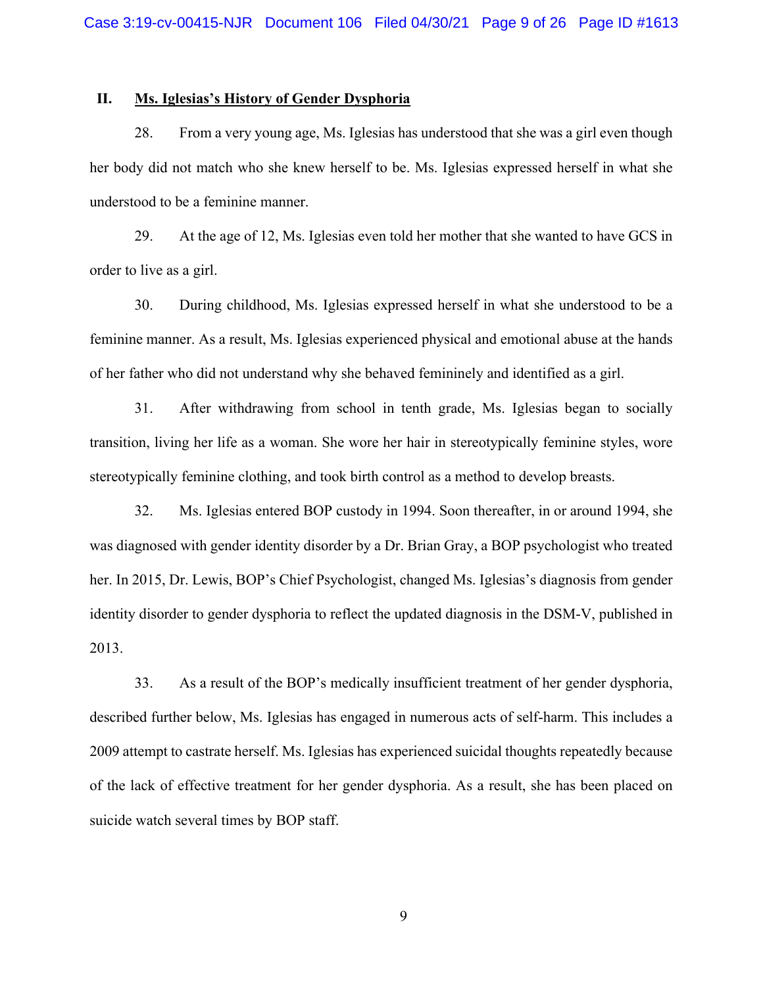## **II. Ms. Iglesias's History of Gender Dysphoria**

28. From a very young age, Ms. Iglesias has understood that she was a girl even though her body did not match who she knew herself to be. Ms. Iglesias expressed herself in what she understood to be a feminine manner.

29. At the age of 12, Ms. Iglesias even told her mother that she wanted to have GCS in order to live as a girl.

30. During childhood, Ms. Iglesias expressed herself in what she understood to be a feminine manner. As a result, Ms. Iglesias experienced physical and emotional abuse at the hands of her father who did not understand why she behaved femininely and identified as a girl.

31. After withdrawing from school in tenth grade, Ms. Iglesias began to socially transition, living her life as a woman. She wore her hair in stereotypically feminine styles, wore stereotypically feminine clothing, and took birth control as a method to develop breasts.

32. Ms. Iglesias entered BOP custody in 1994. Soon thereafter, in or around 1994, she was diagnosed with gender identity disorder by a Dr. Brian Gray, a BOP psychologist who treated her. In 2015, Dr. Lewis, BOP's Chief Psychologist, changed Ms. Iglesias's diagnosis from gender identity disorder to gender dysphoria to reflect the updated diagnosis in the DSM-V, published in 2013.

33. As a result of the BOP's medically insufficient treatment of her gender dysphoria, described further below, Ms. Iglesias has engaged in numerous acts of self-harm. This includes a 2009 attempt to castrate herself. Ms. Iglesias has experienced suicidal thoughts repeatedly because of the lack of effective treatment for her gender dysphoria. As a result, she has been placed on suicide watch several times by BOP staff.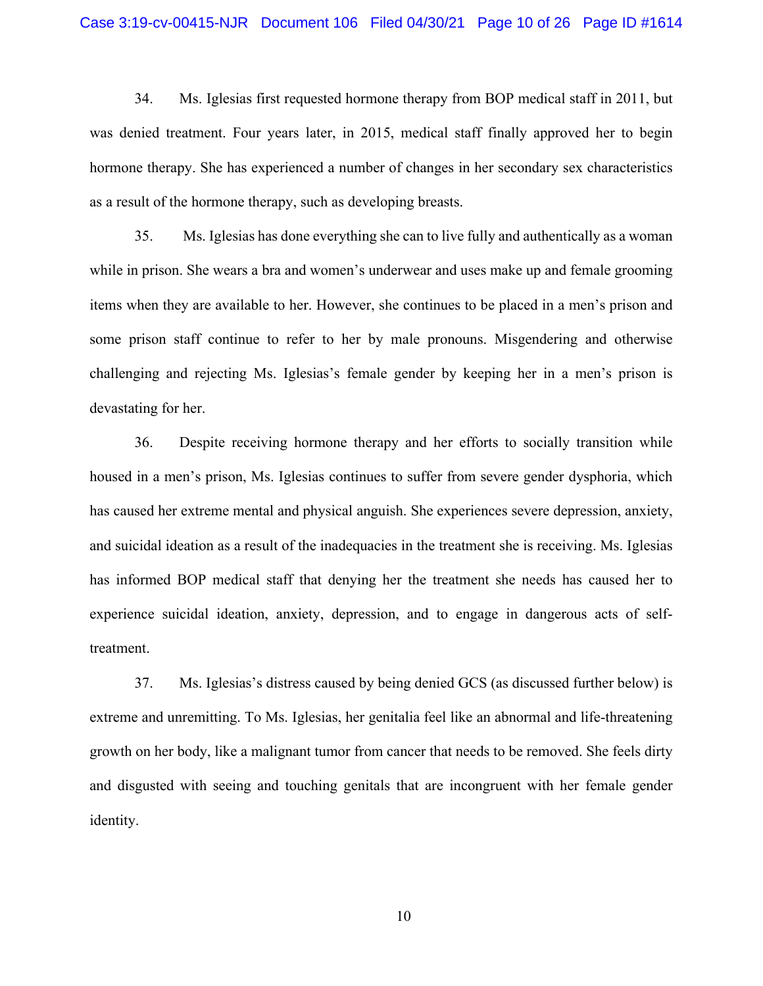34. Ms. Iglesias first requested hormone therapy from BOP medical staff in 2011, but was denied treatment. Four years later, in 2015, medical staff finally approved her to begin hormone therapy. She has experienced a number of changes in her secondary sex characteristics as a result of the hormone therapy, such as developing breasts.

35. Ms. Iglesias has done everything she can to live fully and authentically as a woman while in prison. She wears a bra and women's underwear and uses make up and female grooming items when they are available to her. However, she continues to be placed in a men's prison and some prison staff continue to refer to her by male pronouns. Misgendering and otherwise challenging and rejecting Ms. Iglesias's female gender by keeping her in a men's prison is devastating for her.

36. Despite receiving hormone therapy and her efforts to socially transition while housed in a men's prison, Ms. Iglesias continues to suffer from severe gender dysphoria, which has caused her extreme mental and physical anguish. She experiences severe depression, anxiety, and suicidal ideation as a result of the inadequacies in the treatment she is receiving. Ms. Iglesias has informed BOP medical staff that denying her the treatment she needs has caused her to experience suicidal ideation, anxiety, depression, and to engage in dangerous acts of selftreatment.

37. Ms. Iglesias's distress caused by being denied GCS (as discussed further below) is extreme and unremitting. To Ms. Iglesias, her genitalia feel like an abnormal and life-threatening growth on her body, like a malignant tumor from cancer that needs to be removed. She feels dirty and disgusted with seeing and touching genitals that are incongruent with her female gender identity.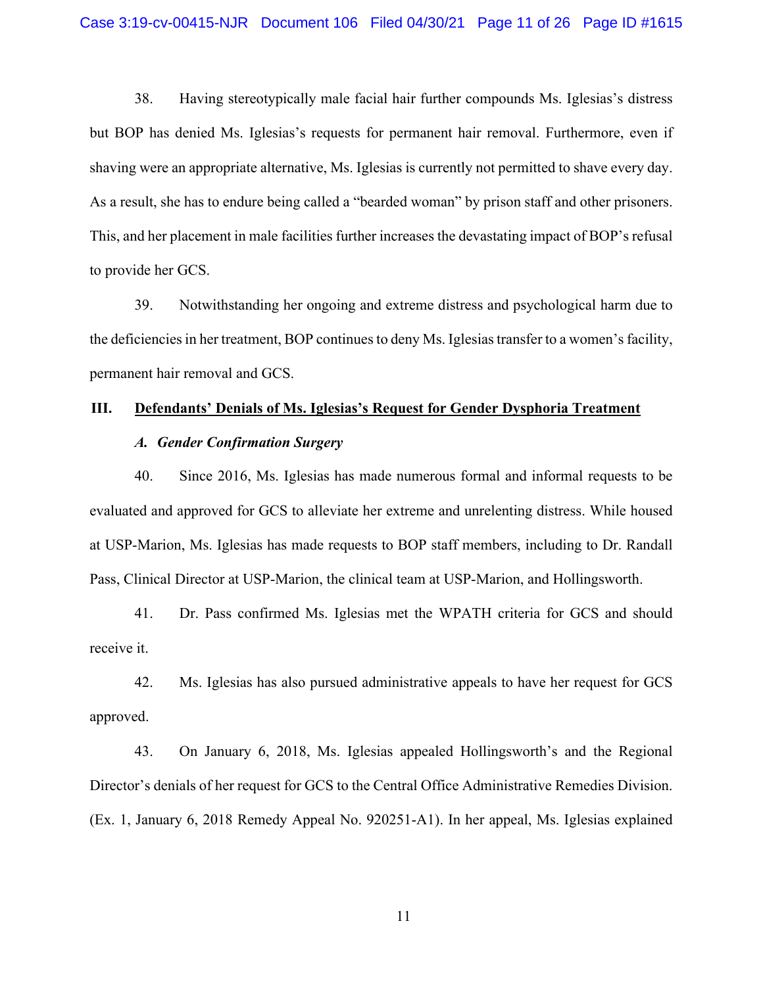38. Having stereotypically male facial hair further compounds Ms. Iglesias's distress but BOP has denied Ms. Iglesias's requests for permanent hair removal. Furthermore, even if shaving were an appropriate alternative, Ms. Iglesias is currently not permitted to shave every day. As a result, she has to endure being called a "bearded woman" by prison staff and other prisoners. This, and her placement in male facilities further increases the devastating impact of BOP's refusal to provide her GCS.

39. Notwithstanding her ongoing and extreme distress and psychological harm due to the deficiencies in her treatment, BOP continues to deny Ms. Iglesias transfer to a women's facility, permanent hair removal and GCS.

# **III. Defendants' Denials of Ms. Iglesias's Request for Gender Dysphoria Treatment**

# *A. Gender Confirmation Surgery*

40. Since 2016, Ms. Iglesias has made numerous formal and informal requests to be evaluated and approved for GCS to alleviate her extreme and unrelenting distress. While housed at USP-Marion, Ms. Iglesias has made requests to BOP staff members, including to Dr. Randall Pass, Clinical Director at USP-Marion, the clinical team at USP-Marion, and Hollingsworth.

41. Dr. Pass confirmed Ms. Iglesias met the WPATH criteria for GCS and should receive it.

42. Ms. Iglesias has also pursued administrative appeals to have her request for GCS approved.

43. On January 6, 2018, Ms. Iglesias appealed Hollingsworth's and the Regional Director's denials of her request for GCS to the Central Office Administrative Remedies Division. (Ex. 1, January 6, 2018 Remedy Appeal No. 920251-A1). In her appeal, Ms. Iglesias explained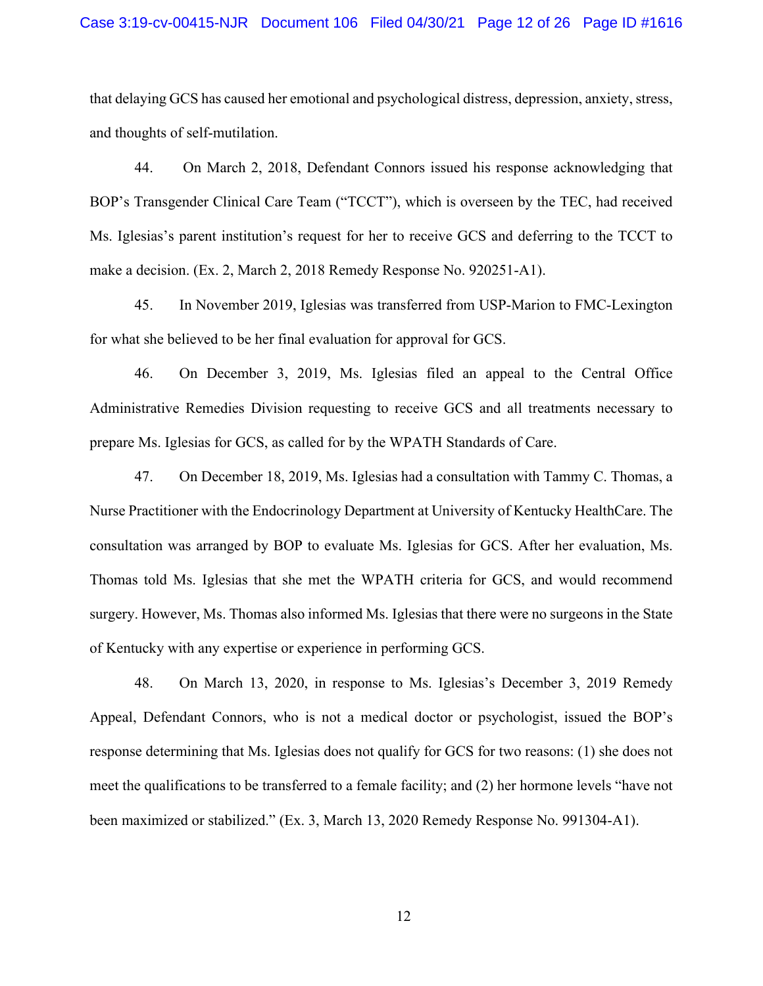#### Case 3:19-cv-00415-NJR Document 106 Filed 04/30/21 Page 12 of 26 Page ID #1616

that delaying GCS has caused her emotional and psychological distress, depression, anxiety, stress, and thoughts of self-mutilation.

44. On March 2, 2018, Defendant Connors issued his response acknowledging that BOP's Transgender Clinical Care Team ("TCCT"), which is overseen by the TEC, had received Ms. Iglesias's parent institution's request for her to receive GCS and deferring to the TCCT to make a decision. (Ex. 2, March 2, 2018 Remedy Response No. 920251-A1).

45. In November 2019, Iglesias was transferred from USP-Marion to FMC-Lexington for what she believed to be her final evaluation for approval for GCS.

46. On December 3, 2019, Ms. Iglesias filed an appeal to the Central Office Administrative Remedies Division requesting to receive GCS and all treatments necessary to prepare Ms. Iglesias for GCS, as called for by the WPATH Standards of Care.

47. On December 18, 2019, Ms. Iglesias had a consultation with Tammy C. Thomas, a Nurse Practitioner with the Endocrinology Department at University of Kentucky HealthCare. The consultation was arranged by BOP to evaluate Ms. Iglesias for GCS. After her evaluation, Ms. Thomas told Ms. Iglesias that she met the WPATH criteria for GCS, and would recommend surgery. However, Ms. Thomas also informed Ms. Iglesias that there were no surgeons in the State of Kentucky with any expertise or experience in performing GCS.

48. On March 13, 2020, in response to Ms. Iglesias's December 3, 2019 Remedy Appeal, Defendant Connors, who is not a medical doctor or psychologist, issued the BOP's response determining that Ms. Iglesias does not qualify for GCS for two reasons: (1) she does not meet the qualifications to be transferred to a female facility; and (2) her hormone levels "have not been maximized or stabilized." (Ex. 3, March 13, 2020 Remedy Response No. 991304-A1).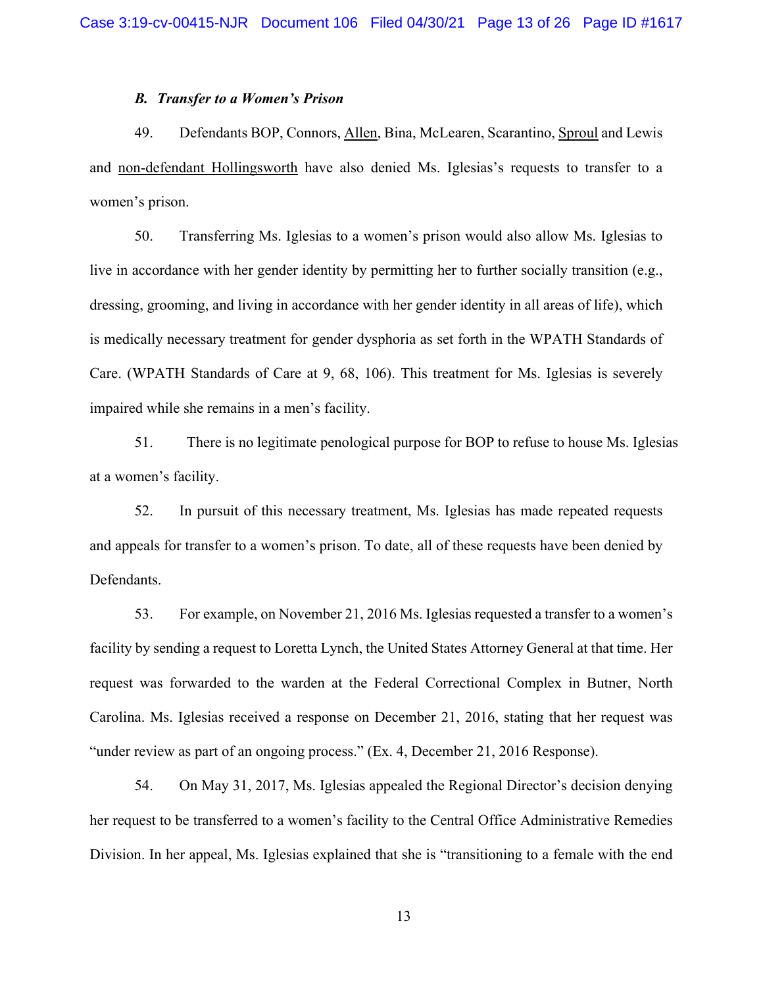# *B. Transfer to a Women's Prison*

49. Defendants BOP, Connors, Allen, Bina, McLearen, Scarantino, Sproul and Lewis and non-defendant Hollingsworth have also denied Ms. Iglesias's requests to transfer to a women's prison.

50. Transferring Ms. Iglesias to a women's prison would also allow Ms. Iglesias to live in accordance with her gender identity by permitting her to further socially transition (e.g., dressing, grooming, and living in accordance with her gender identity in all areas of life), which is medically necessary treatment for gender dysphoria as set forth in the WPATH Standards of Care. (WPATH Standards of Care at 9, 68, 106). This treatment for Ms. Iglesias is severely impaired while she remains in a men's facility.

51. There is no legitimate penological purpose for BOP to refuse to house Ms. Iglesias at a women's facility.

52. In pursuit of this necessary treatment, Ms. Iglesias has made repeated requests and appeals for transfer to a women's prison. To date, all of these requests have been denied by Defendants.

53. For example, on November 21, 2016 Ms. Iglesias requested a transfer to a women's facility by sending a request to Loretta Lynch, the United States Attorney General at that time. Her request was forwarded to the warden at the Federal Correctional Complex in Butner, North Carolina. Ms. Iglesias received a response on December 21, 2016, stating that her request was "under review as part of an ongoing process." (Ex. 4, December 21, 2016 Response).

54. On May 31, 2017, Ms. Iglesias appealed the Regional Director's decision denying her request to be transferred to a women's facility to the Central Office Administrative Remedies Division. In her appeal, Ms. Iglesias explained that she is "transitioning to a female with the end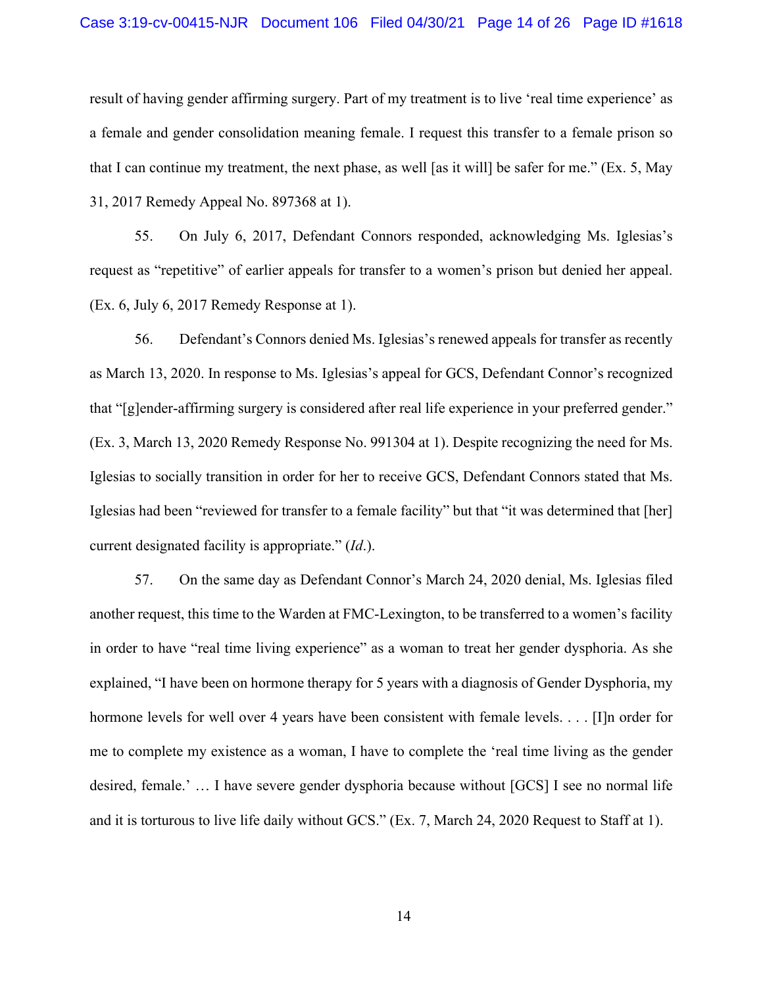#### Case 3:19-cv-00415-NJR Document 106 Filed 04/30/21 Page 14 of 26 Page ID #1618

result of having gender affirming surgery. Part of my treatment is to live 'real time experience' as a female and gender consolidation meaning female. I request this transfer to a female prison so that I can continue my treatment, the next phase, as well [as it will] be safer for me." (Ex. 5, May 31, 2017 Remedy Appeal No. 897368 at 1).

55. On July 6, 2017, Defendant Connors responded, acknowledging Ms. Iglesias's request as "repetitive" of earlier appeals for transfer to a women's prison but denied her appeal. (Ex. 6, July 6, 2017 Remedy Response at 1).

56. Defendant's Connors denied Ms. Iglesias's renewed appeals for transfer as recently as March 13, 2020. In response to Ms. Iglesias's appeal for GCS, Defendant Connor's recognized that "[g]ender-affirming surgery is considered after real life experience in your preferred gender." (Ex. 3, March 13, 2020 Remedy Response No. 991304 at 1). Despite recognizing the need for Ms. Iglesias to socially transition in order for her to receive GCS, Defendant Connors stated that Ms. Iglesias had been "reviewed for transfer to a female facility" but that "it was determined that [her] current designated facility is appropriate." (*Id*.).

57. On the same day as Defendant Connor's March 24, 2020 denial, Ms. Iglesias filed another request, this time to the Warden at FMC-Lexington, to be transferred to a women's facility in order to have "real time living experience" as a woman to treat her gender dysphoria. As she explained, "I have been on hormone therapy for 5 years with a diagnosis of Gender Dysphoria, my hormone levels for well over 4 years have been consistent with female levels. . . . [I]n order for me to complete my existence as a woman, I have to complete the 'real time living as the gender desired, female.' … I have severe gender dysphoria because without [GCS] I see no normal life and it is torturous to live life daily without GCS." (Ex. 7, March 24, 2020 Request to Staff at 1).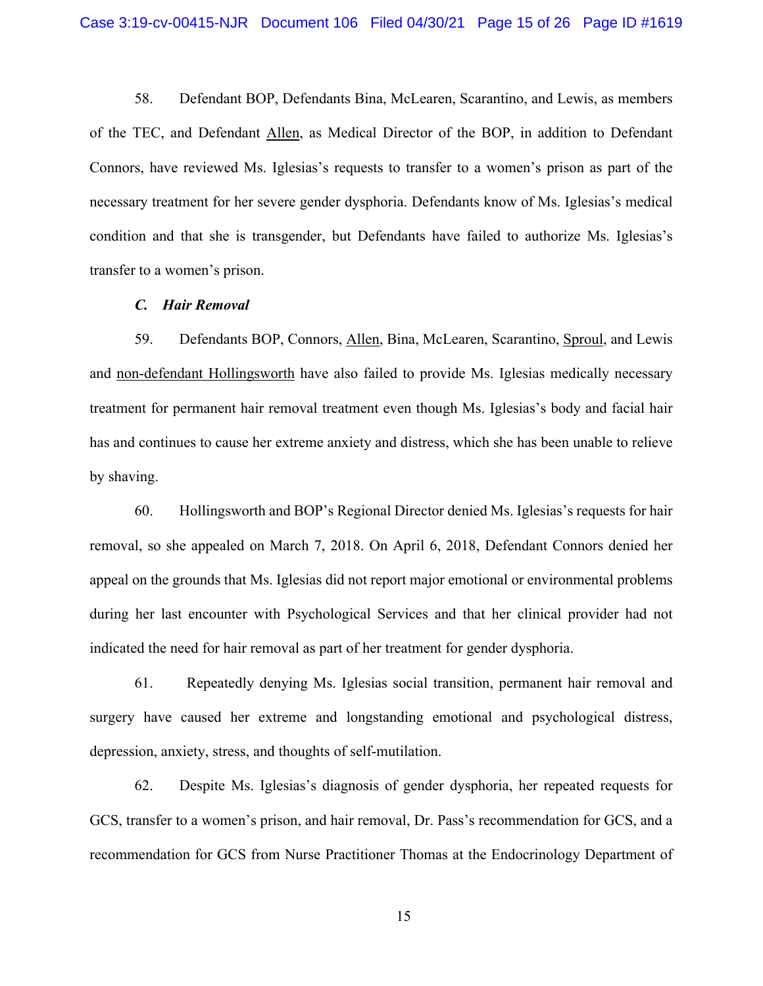58. Defendant BOP, Defendants Bina, McLearen, Scarantino, and Lewis, as members of the TEC, and Defendant Allen, as Medical Director of the BOP, in addition to Defendant Connors, have reviewed Ms. Iglesias's requests to transfer to a women's prison as part of the necessary treatment for her severe gender dysphoria. Defendants know of Ms. Iglesias's medical condition and that she is transgender, but Defendants have failed to authorize Ms. Iglesias's transfer to a women's prison.

## *C. Hair Removal*

59. Defendants BOP, Connors, Allen, Bina, McLearen, Scarantino, Sproul, and Lewis and non-defendant Hollingsworth have also failed to provide Ms. Iglesias medically necessary treatment for permanent hair removal treatment even though Ms. Iglesias's body and facial hair has and continues to cause her extreme anxiety and distress, which she has been unable to relieve by shaving.

60. Hollingsworth and BOP's Regional Director denied Ms. Iglesias's requests for hair removal, so she appealed on March 7, 2018. On April 6, 2018, Defendant Connors denied her appeal on the grounds that Ms. Iglesias did not report major emotional or environmental problems during her last encounter with Psychological Services and that her clinical provider had not indicated the need for hair removal as part of her treatment for gender dysphoria.

61. Repeatedly denying Ms. Iglesias social transition, permanent hair removal and surgery have caused her extreme and longstanding emotional and psychological distress, depression, anxiety, stress, and thoughts of self-mutilation.

62. Despite Ms. Iglesias's diagnosis of gender dysphoria, her repeated requests for GCS, transfer to a women's prison, and hair removal, Dr. Pass's recommendation for GCS, and a recommendation for GCS from Nurse Practitioner Thomas at the Endocrinology Department of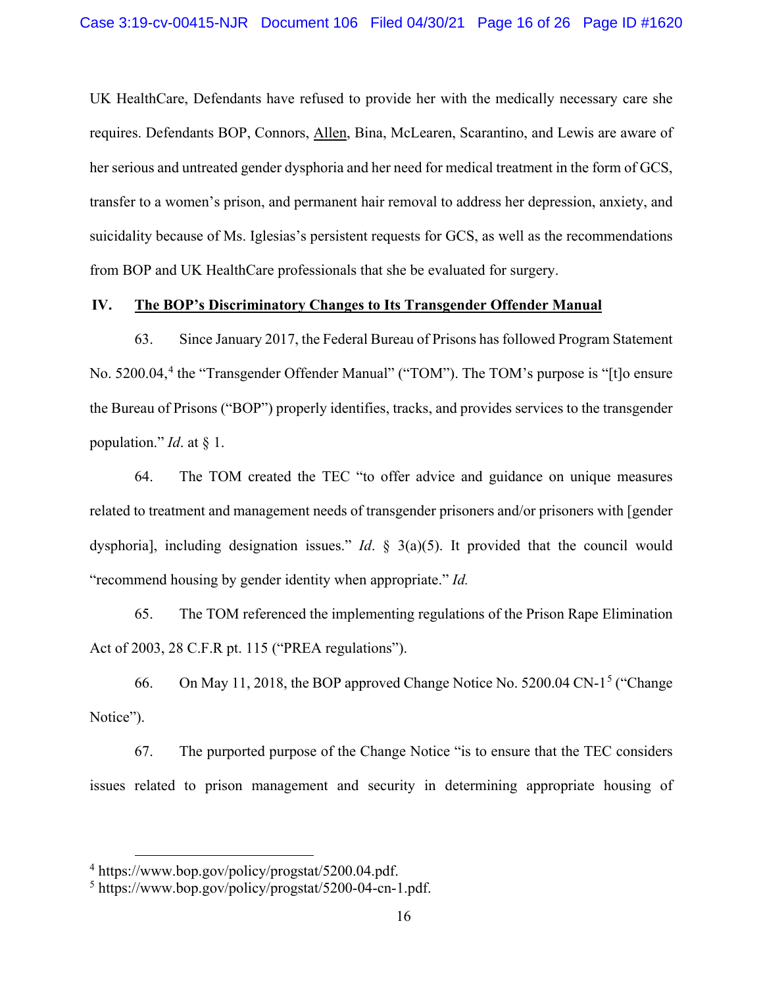UK HealthCare, Defendants have refused to provide her with the medically necessary care she requires. Defendants BOP, Connors, Allen, Bina, McLearen, Scarantino, and Lewis are aware of her serious and untreated gender dysphoria and her need for medical treatment in the form of GCS, transfer to a women's prison, and permanent hair removal to address her depression, anxiety, and suicidality because of Ms. Iglesias's persistent requests for GCS, as well as the recommendations from BOP and UK HealthCare professionals that she be evaluated for surgery.

# **IV. The BOP's Discriminatory Changes to Its Transgender Offender Manual**

63. Since January 2017, the Federal Bureau of Prisons has followed Program Statement No. 5200.04,<sup>4</sup> the "Transgender Offender Manual" ("TOM"). The TOM's purpose is "[t]o ensure the Bureau of Prisons ("BOP") properly identifies, tracks, and provides services to the transgender population." *Id*. at § 1.

64. The TOM created the TEC "to offer advice and guidance on unique measures related to treatment and management needs of transgender prisoners and/or prisoners with [gender dysphoria], including designation issues." *Id*. § 3(a)(5). It provided that the council would "recommend housing by gender identity when appropriate." *Id.*

65. The TOM referenced the implementing regulations of the Prison Rape Elimination Act of 2003, 28 C.F.R pt. 115 ("PREA regulations").

66. On May 11, 2018, the BOP approved Change Notice No. 5200.04 CN-1<sup>5</sup> ("Change") Notice").

67. The purported purpose of the Change Notice "is to ensure that the TEC considers issues related to prison management and security in determining appropriate housing of

<sup>4</sup> https://www.bop.gov/policy/progstat/5200.04.pdf.

<sup>5</sup> https://www.bop.gov/policy/progstat/5200-04-cn-1.pdf.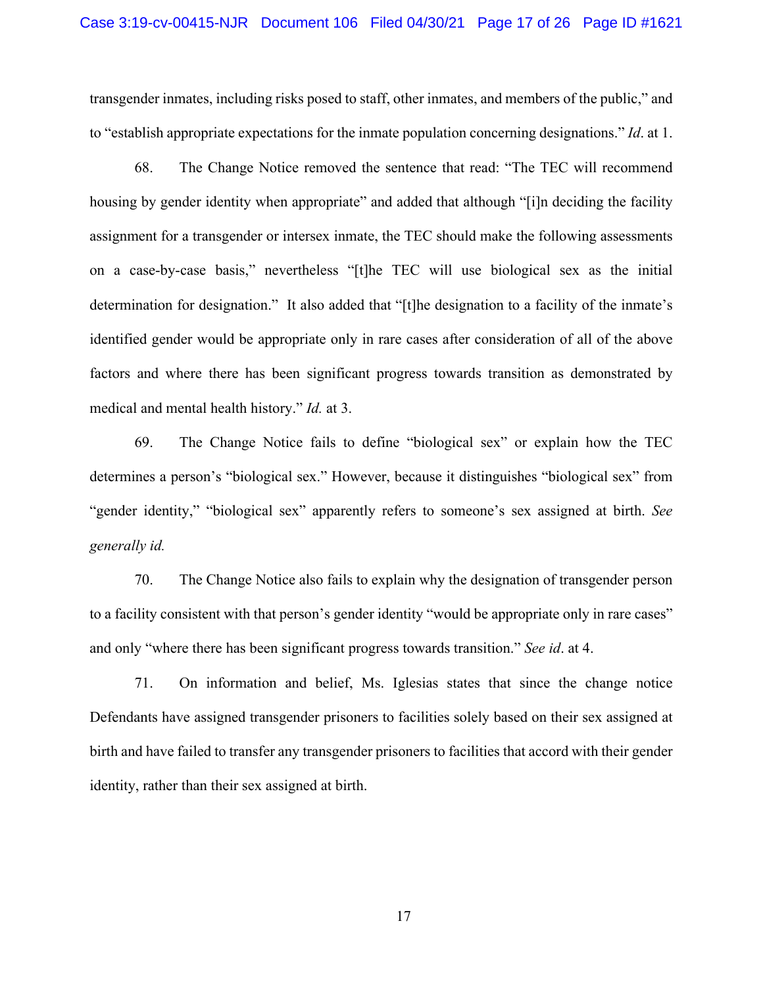transgender inmates, including risks posed to staff, other inmates, and members of the public," and to "establish appropriate expectations for the inmate population concerning designations." *Id*. at 1.

68. The Change Notice removed the sentence that read: "The TEC will recommend housing by gender identity when appropriate" and added that although "[i]n deciding the facility assignment for a transgender or intersex inmate, the TEC should make the following assessments on a case-by-case basis," nevertheless "[t]he TEC will use biological sex as the initial determination for designation." It also added that "[t]he designation to a facility of the inmate's identified gender would be appropriate only in rare cases after consideration of all of the above factors and where there has been significant progress towards transition as demonstrated by medical and mental health history." *Id.* at 3.

69. The Change Notice fails to define "biological sex" or explain how the TEC determines a person's "biological sex." However, because it distinguishes "biological sex" from "gender identity," "biological sex" apparently refers to someone's sex assigned at birth. *See generally id.*

70. The Change Notice also fails to explain why the designation of transgender person to a facility consistent with that person's gender identity "would be appropriate only in rare cases" and only "where there has been significant progress towards transition." *See id*. at 4.

71. On information and belief, Ms. Iglesias states that since the change notice Defendants have assigned transgender prisoners to facilities solely based on their sex assigned at birth and have failed to transfer any transgender prisoners to facilities that accord with their gender identity, rather than their sex assigned at birth.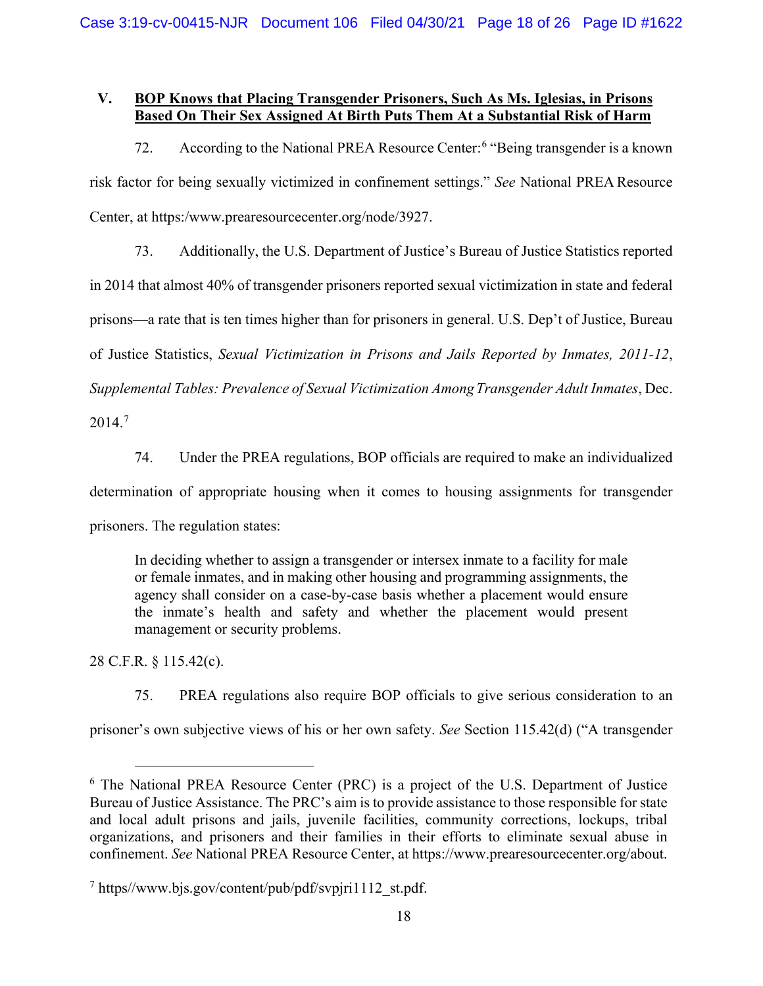# **V. BOP Knows that Placing Transgender Prisoners, Such As Ms. Iglesias, in Prisons Based On Their Sex Assigned At Birth Puts Them At a Substantial Risk of Harm**

72. According to the National PREA Resource Center:<sup>6</sup> "Being transgender is a known risk factor for being sexually victimized in confinement settings." *See* National PREA Resource Center, at https:/www.prearesourcecenter.org/node/3927.

73. Additionally, the U.S. Department of Justice's Bureau of Justice Statistics reported in 2014 that almost 40% of transgender prisoners reported sexual victimization in state and federal prisons—a rate that is ten times higher than for prisoners in general. U.S. Dep't of Justice, Bureau of Justice Statistics, *Sexual Victimization in Prisons and Jails Reported by Inmates, 2011-12*, *Supplemental Tables: Prevalence of Sexual Victimization AmongTransgender Adult Inmates*, Dec.

2014.<sup>7</sup>

74. Under the PREA regulations, BOP officials are required to make an individualized

determination of appropriate housing when it comes to housing assignments for transgender

prisoners. The regulation states:

In deciding whether to assign a transgender or intersex inmate to a facility for male or female inmates, and in making other housing and programming assignments, the agency shall consider on a case-by-case basis whether a placement would ensure the inmate's health and safety and whether the placement would present management or security problems.

28 C.F.R. § 115.42(c).

75. PREA regulations also require BOP officials to give serious consideration to an

prisoner's own subjective views of his or her own safety. *See* Section 115.42(d) ("A transgender

<sup>6</sup> The National PREA Resource Center (PRC) is a project of the U.S. Department of Justice Bureau of Justice Assistance. The PRC's aim is to provide assistance to those responsible for state and local adult prisons and jails, juvenile facilities, community corrections, lockups, tribal organizations, and prisoners and their families in their efforts to eliminate sexual abuse in confinement. *See* National PREA Resource Center, at https://www.prearesourcecenter.org/about.

 $\frac{7 \text{ https://www.bjs.gov/content/public/pdf/svpir1112} \text{ st.pdf.}}{7 \text{ https://www.bjs.gov/content/public/pdf/svpir1112} \text{ st.pdf.}}$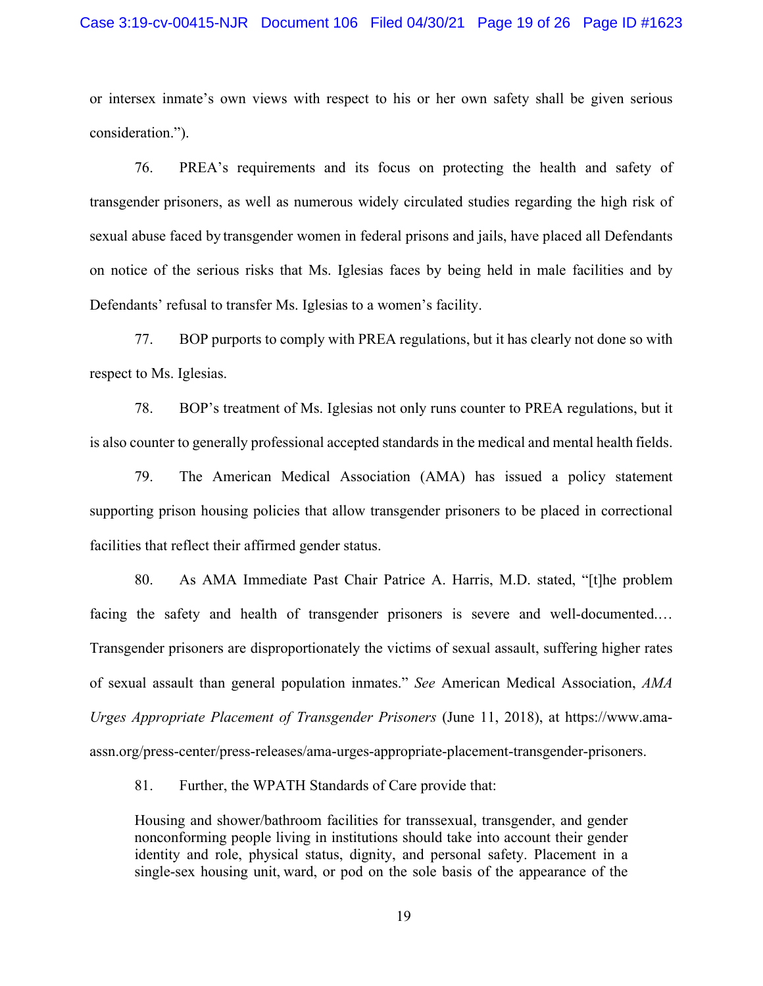#### Case 3:19-cv-00415-NJR Document 106 Filed 04/30/21 Page 19 of 26 Page ID #1623

or intersex inmate's own views with respect to his or her own safety shall be given serious consideration.").

76. PREA's requirements and its focus on protecting the health and safety of transgender prisoners, as well as numerous widely circulated studies regarding the high risk of sexual abuse faced by transgender women in federal prisons and jails, have placed all Defendants on notice of the serious risks that Ms. Iglesias faces by being held in male facilities and by Defendants' refusal to transfer Ms. Iglesias to a women's facility.

77. BOP purports to comply with PREA regulations, but it has clearly not done so with respect to Ms. Iglesias.

78. BOP's treatment of Ms. Iglesias not only runs counter to PREA regulations, but it is also counter to generally professional accepted standards in the medical and mental health fields.

79. The American Medical Association (AMA) has issued a policy statement supporting prison housing policies that allow transgender prisoners to be placed in correctional facilities that reflect their affirmed gender status.

80. As AMA Immediate Past Chair Patrice A. Harris, M.D. stated, "[t]he problem facing the safety and health of transgender prisoners is severe and well-documented.… Transgender prisoners are disproportionately the victims of sexual assault, suffering higher rates of sexual assault than general population inmates." *See* American Medical Association, *AMA Urges Appropriate Placement of Transgender Prisoners* (June 11, 2018), at https://www.amaassn.org/press-center/press-releases/ama-urges-appropriate-placement-transgender-prisoners.

81. Further, the WPATH Standards of Care provide that:

Housing and shower/bathroom facilities for transsexual, transgender, and gender nonconforming people living in institutions should take into account their gender identity and role, physical status, dignity, and personal safety. Placement in a single-sex housing unit, ward, or pod on the sole basis of the appearance of the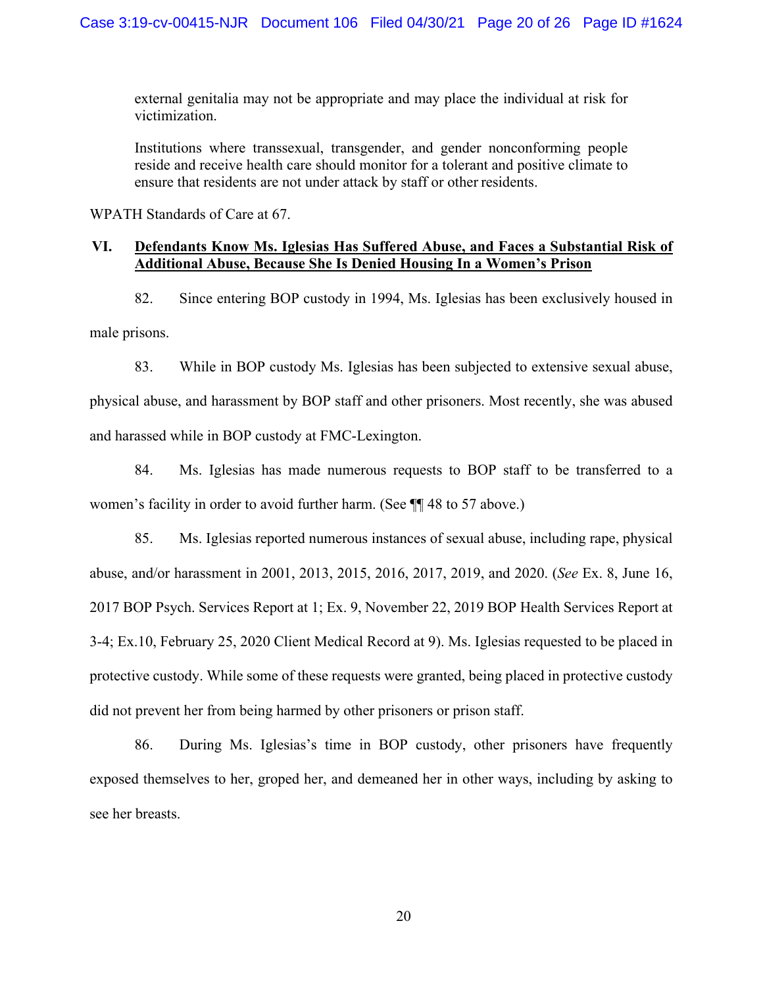external genitalia may not be appropriate and may place the individual at risk for victimization.

Institutions where transsexual, transgender, and gender nonconforming people reside and receive health care should monitor for a tolerant and positive climate to ensure that residents are not under attack by staff or other residents.

WPATH Standards of Care at 67.

# **VI. Defendants Know Ms. Iglesias Has Suffered Abuse, and Faces a Substantial Risk of Additional Abuse, Because She Is Denied Housing In a Women's Prison**

82. Since entering BOP custody in 1994, Ms. Iglesias has been exclusively housed in male prisons.

83. While in BOP custody Ms. Iglesias has been subjected to extensive sexual abuse, physical abuse, and harassment by BOP staff and other prisoners. Most recently, she was abused and harassed while in BOP custody at FMC-Lexington.

84. Ms. Iglesias has made numerous requests to BOP staff to be transferred to a women's facility in order to avoid further harm. (See ¶¶ 48 to 57 above.)

85. Ms. Iglesias reported numerous instances of sexual abuse, including rape, physical abuse, and/or harassment in 2001, 2013, 2015, 2016, 2017, 2019, and 2020. (*See* Ex. 8, June 16, 2017 BOP Psych. Services Report at 1; Ex. 9, November 22, 2019 BOP Health Services Report at 3-4; Ex.10, February 25, 2020 Client Medical Record at 9). Ms. Iglesias requested to be placed in protective custody. While some of these requests were granted, being placed in protective custody did not prevent her from being harmed by other prisoners or prison staff.

86. During Ms. Iglesias's time in BOP custody, other prisoners have frequently exposed themselves to her, groped her, and demeaned her in other ways, including by asking to see her breasts.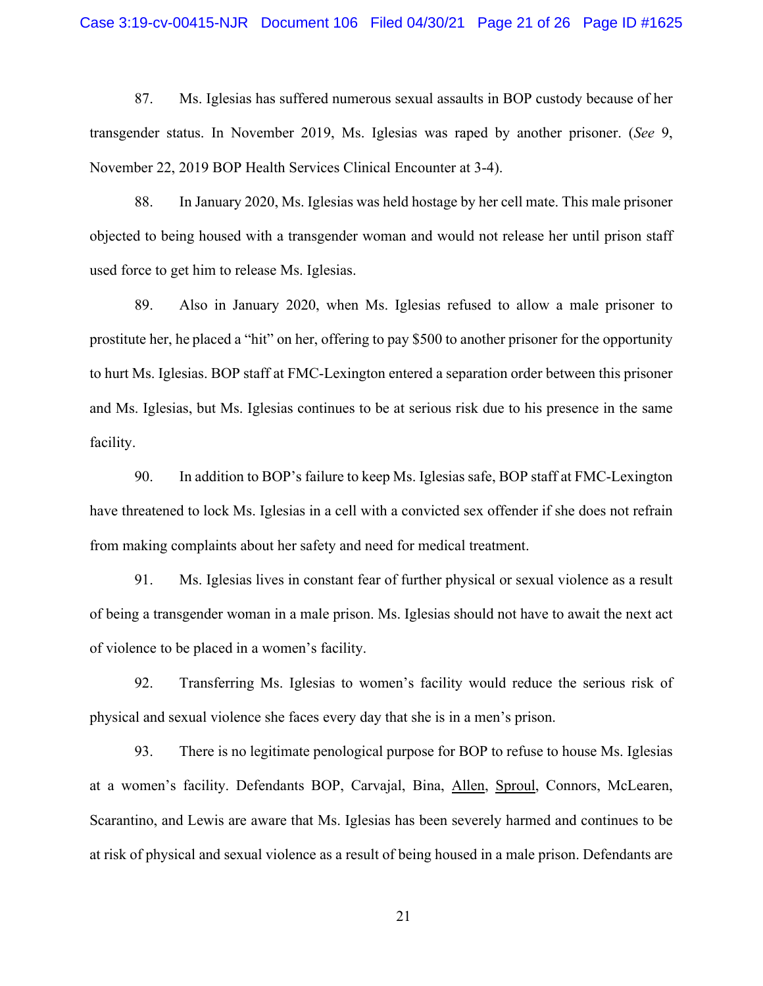#### Case 3:19-cv-00415-NJR Document 106 Filed 04/30/21 Page 21 of 26 Page ID #1625

87. Ms. Iglesias has suffered numerous sexual assaults in BOP custody because of her transgender status. In November 2019, Ms. Iglesias was raped by another prisoner. (*See* 9, November 22, 2019 BOP Health Services Clinical Encounter at 3-4).

88. In January 2020, Ms. Iglesias was held hostage by her cell mate. This male prisoner objected to being housed with a transgender woman and would not release her until prison staff used force to get him to release Ms. Iglesias.

89. Also in January 2020, when Ms. Iglesias refused to allow a male prisoner to prostitute her, he placed a "hit" on her, offering to pay \$500 to another prisoner for the opportunity to hurt Ms. Iglesias. BOP staff at FMC-Lexington entered a separation order between this prisoner and Ms. Iglesias, but Ms. Iglesias continues to be at serious risk due to his presence in the same facility.

90. In addition to BOP's failure to keep Ms. Iglesias safe, BOP staff at FMC-Lexington have threatened to lock Ms. Iglesias in a cell with a convicted sex offender if she does not refrain from making complaints about her safety and need for medical treatment.

91. Ms. Iglesias lives in constant fear of further physical or sexual violence as a result of being a transgender woman in a male prison. Ms. Iglesias should not have to await the next act of violence to be placed in a women's facility.

92. Transferring Ms. Iglesias to women's facility would reduce the serious risk of physical and sexual violence she faces every day that she is in a men's prison.

93. There is no legitimate penological purpose for BOP to refuse to house Ms. Iglesias at a women's facility. Defendants BOP, Carvajal, Bina, Allen, Sproul, Connors, McLearen, Scarantino, and Lewis are aware that Ms. Iglesias has been severely harmed and continues to be at risk of physical and sexual violence as a result of being housed in a male prison. Defendants are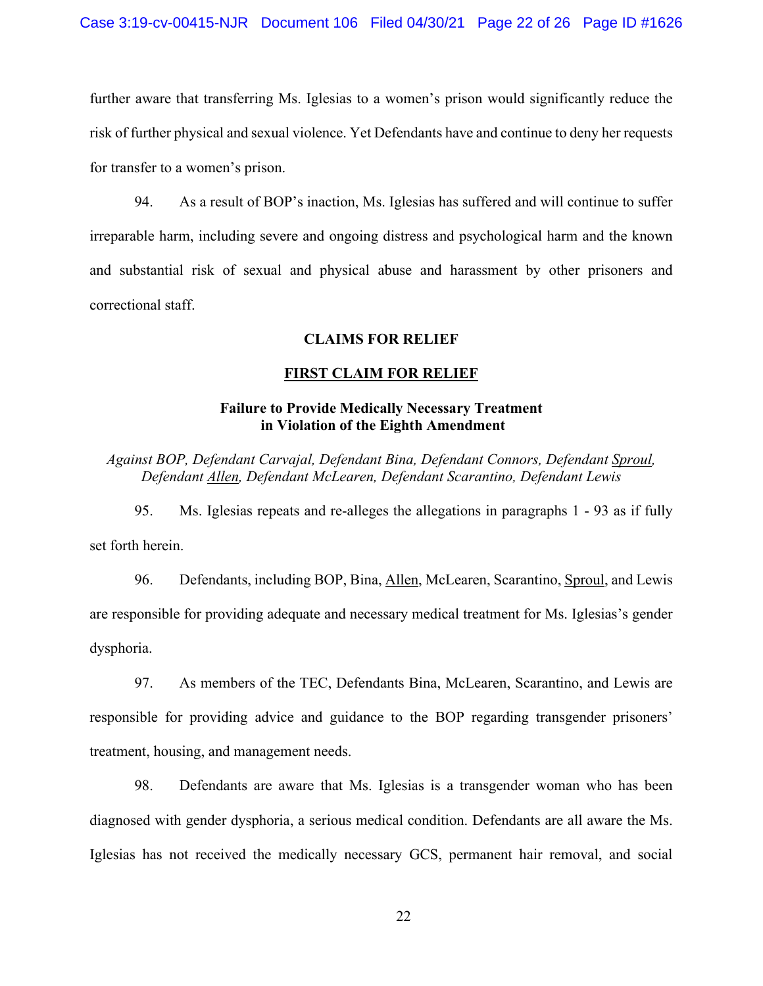further aware that transferring Ms. Iglesias to a women's prison would significantly reduce the risk of further physical and sexual violence. Yet Defendants have and continue to deny her requests for transfer to a women's prison.

94. As a result of BOP's inaction, Ms. Iglesias has suffered and will continue to suffer irreparable harm, including severe and ongoing distress and psychological harm and the known and substantial risk of sexual and physical abuse and harassment by other prisoners and correctional staff.

## **CLAIMS FOR RELIEF**

## **FIRST CLAIM FOR RELIEF**

# **Failure to Provide Medically Necessary Treatment in Violation of the Eighth Amendment**

*Against BOP, Defendant Carvajal, Defendant Bina, Defendant Connors, Defendant Sproul, Defendant Allen, Defendant McLearen, Defendant Scarantino, Defendant Lewis*

95. Ms. Iglesias repeats and re-alleges the allegations in paragraphs 1 - 93 as if fully set forth herein.

96. Defendants, including BOP, Bina, Allen, McLearen, Scarantino, Sproul, and Lewis are responsible for providing adequate and necessary medical treatment for Ms. Iglesias's gender dysphoria.

97. As members of the TEC, Defendants Bina, McLearen, Scarantino, and Lewis are responsible for providing advice and guidance to the BOP regarding transgender prisoners' treatment, housing, and management needs.

98. Defendants are aware that Ms. Iglesias is a transgender woman who has been diagnosed with gender dysphoria, a serious medical condition. Defendants are all aware the Ms. Iglesias has not received the medically necessary GCS, permanent hair removal, and social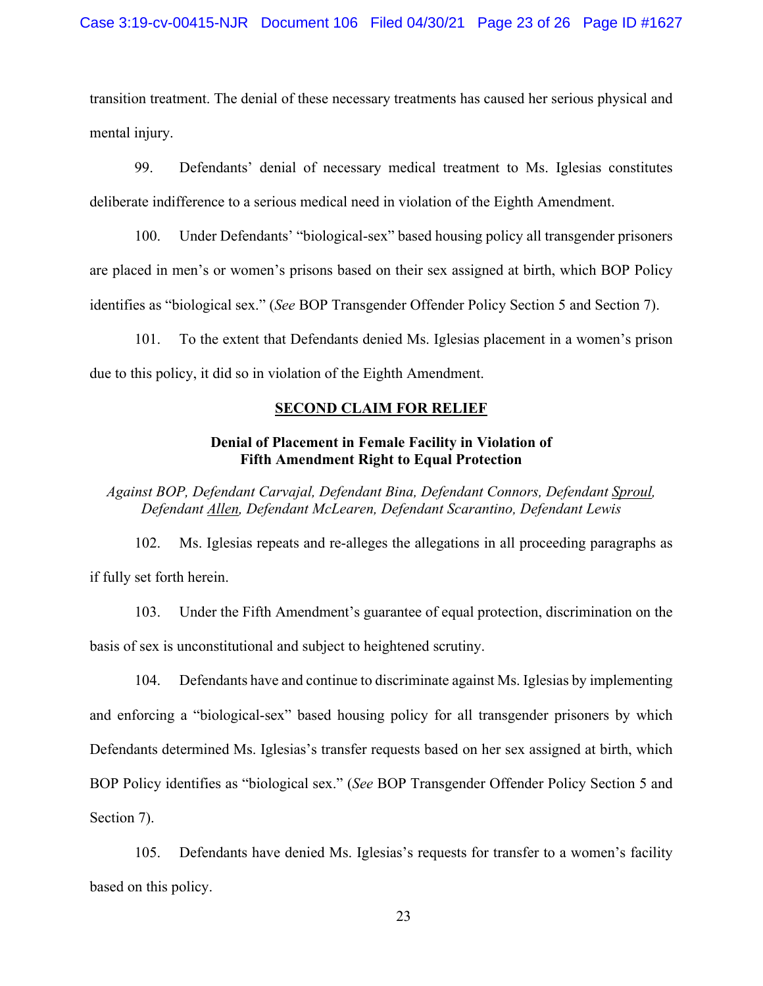transition treatment. The denial of these necessary treatments has caused her serious physical and mental injury.

99. Defendants' denial of necessary medical treatment to Ms. Iglesias constitutes deliberate indifference to a serious medical need in violation of the Eighth Amendment.

100. Under Defendants' "biological-sex" based housing policy all transgender prisoners are placed in men's or women's prisons based on their sex assigned at birth, which BOP Policy identifies as "biological sex." (*See* BOP Transgender Offender Policy Section 5 and Section 7).

101. To the extent that Defendants denied Ms. Iglesias placement in a women's prison due to this policy, it did so in violation of the Eighth Amendment.

## **SECOND CLAIM FOR RELIEF**

# **Denial of Placement in Female Facility in Violation of Fifth Amendment Right to Equal Protection**

*Against BOP, Defendant Carvajal, Defendant Bina, Defendant Connors, Defendant Sproul, Defendant Allen, Defendant McLearen, Defendant Scarantino, Defendant Lewis*

102. Ms. Iglesias repeats and re-alleges the allegations in all proceeding paragraphs as if fully set forth herein.

103. Under the Fifth Amendment's guarantee of equal protection, discrimination on the basis of sex is unconstitutional and subject to heightened scrutiny.

104. Defendants have and continue to discriminate against Ms. Iglesias by implementing and enforcing a "biological-sex" based housing policy for all transgender prisoners by which Defendants determined Ms. Iglesias's transfer requests based on her sex assigned at birth, which BOP Policy identifies as "biological sex." (*See* BOP Transgender Offender Policy Section 5 and Section 7).

105. Defendants have denied Ms. Iglesias's requests for transfer to a women's facility based on this policy.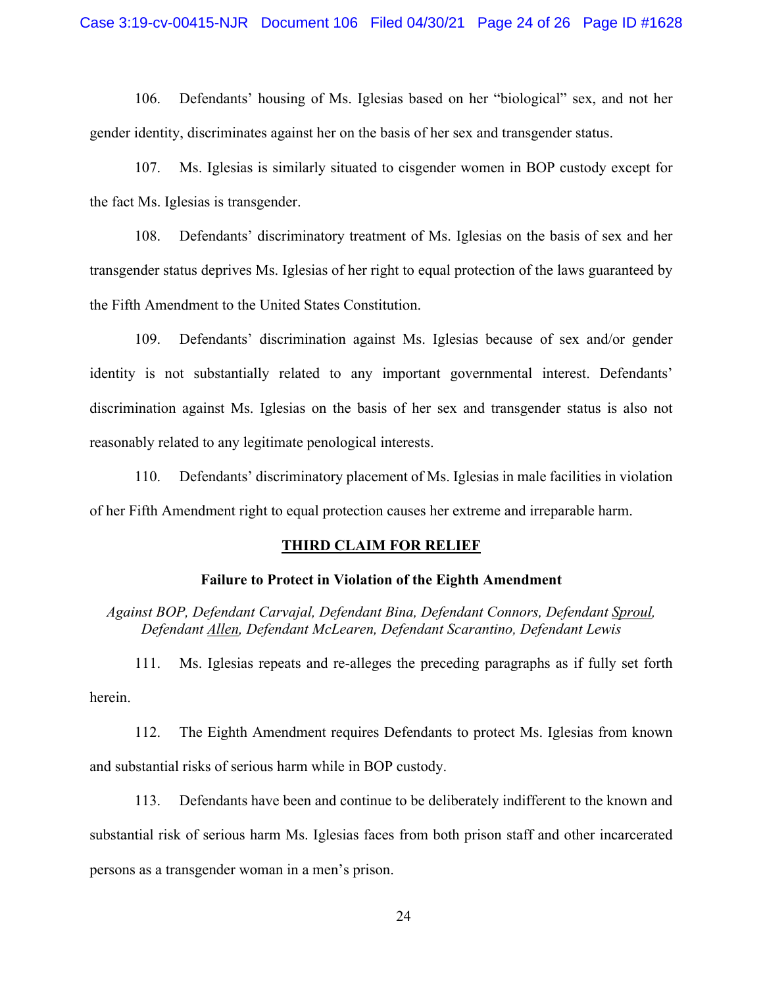#### Case 3:19-cv-00415-NJR Document 106 Filed 04/30/21 Page 24 of 26 Page ID #1628

106. Defendants' housing of Ms. Iglesias based on her "biological" sex, and not her gender identity, discriminates against her on the basis of her sex and transgender status.

107. Ms. Iglesias is similarly situated to cisgender women in BOP custody except for the fact Ms. Iglesias is transgender.

108. Defendants' discriminatory treatment of Ms. Iglesias on the basis of sex and her transgender status deprives Ms. Iglesias of her right to equal protection of the laws guaranteed by the Fifth Amendment to the United States Constitution.

109. Defendants' discrimination against Ms. Iglesias because of sex and/or gender identity is not substantially related to any important governmental interest. Defendants' discrimination against Ms. Iglesias on the basis of her sex and transgender status is also not reasonably related to any legitimate penological interests.

110. Defendants' discriminatory placement of Ms. Iglesias in male facilities in violation of her Fifth Amendment right to equal protection causes her extreme and irreparable harm.

#### **THIRD CLAIM FOR RELIEF**

#### **Failure to Protect in Violation of the Eighth Amendment**

*Against BOP, Defendant Carvajal, Defendant Bina, Defendant Connors, Defendant Sproul, Defendant Allen, Defendant McLearen, Defendant Scarantino, Defendant Lewis*

111. Ms. Iglesias repeats and re-alleges the preceding paragraphs as if fully set forth herein.

112. The Eighth Amendment requires Defendants to protect Ms. Iglesias from known and substantial risks of serious harm while in BOP custody.

113. Defendants have been and continue to be deliberately indifferent to the known and substantial risk of serious harm Ms. Iglesias faces from both prison staff and other incarcerated persons as a transgender woman in a men's prison.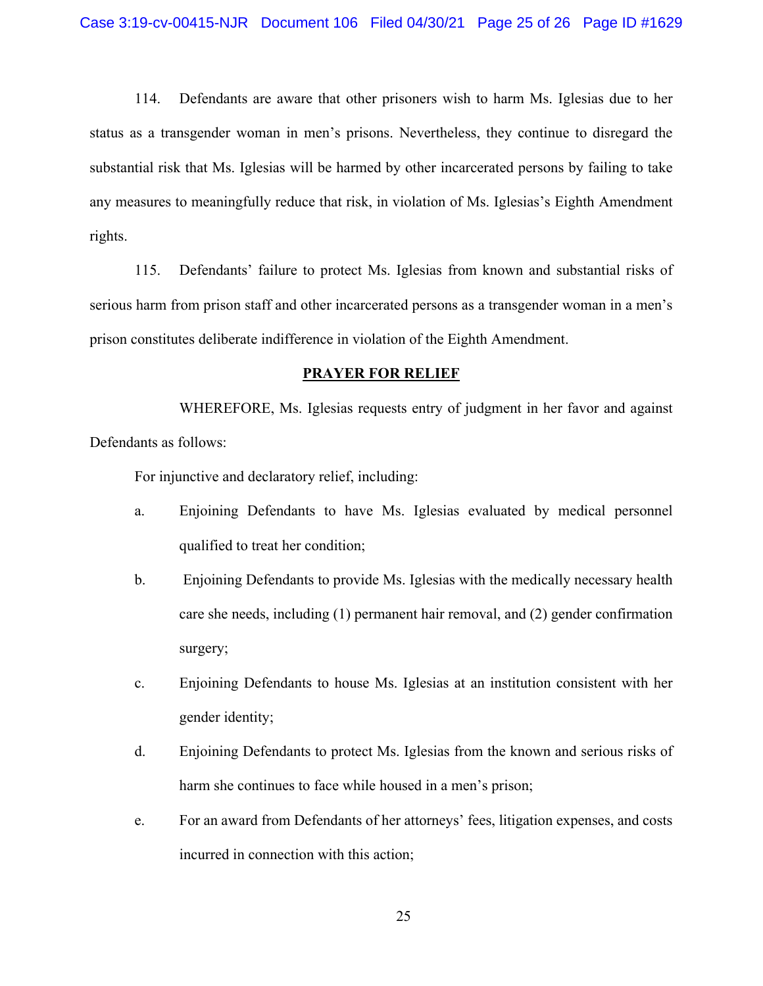114. Defendants are aware that other prisoners wish to harm Ms. Iglesias due to her status as a transgender woman in men's prisons. Nevertheless, they continue to disregard the substantial risk that Ms. Iglesias will be harmed by other incarcerated persons by failing to take any measures to meaningfully reduce that risk, in violation of Ms. Iglesias's Eighth Amendment rights.

115. Defendants' failure to protect Ms. Iglesias from known and substantial risks of serious harm from prison staff and other incarcerated persons as a transgender woman in a men's prison constitutes deliberate indifference in violation of the Eighth Amendment.

#### **PRAYER FOR RELIEF**

WHEREFORE, Ms. Iglesias requests entry of judgment in her favor and against Defendants as follows:

For injunctive and declaratory relief, including:

- a. Enjoining Defendants to have Ms. Iglesias evaluated by medical personnel qualified to treat her condition;
- b. Enjoining Defendants to provide Ms. Iglesias with the medically necessary health care she needs, including (1) permanent hair removal, and (2) gender confirmation surgery;
- c. Enjoining Defendants to house Ms. Iglesias at an institution consistent with her gender identity;
- d. Enjoining Defendants to protect Ms. Iglesias from the known and serious risks of harm she continues to face while housed in a men's prison;
- e. For an award from Defendants of her attorneys' fees, litigation expenses, and costs incurred in connection with this action;